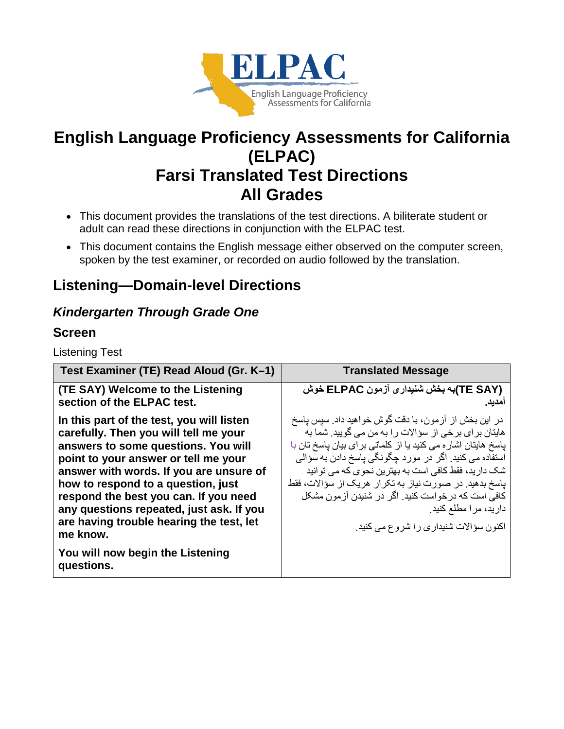

# **English Language Proficiency Assessments for California (ELPAC) Farsi Translated Test Directions All Grades**

- This document provides the translations of the test directions. A biliterate student or adult can read these directions in conjunction with the ELPAC test.
- This document contains the English message either observed on the computer screen, spoken by the test examiner, or recorded on audio followed by the translation.

## **Listening—Domain-level Directions**

### *Kindergarten Through Grade One*

#### **Screen**

Listening Test

| Test Examiner (TE) Read Aloud (Gr. K-1)                                                                                                                                                                                                                                                                                                                                                                                                           | <b>Translated Message</b>                                                                                                                                                                                                                                                                                                                                                                                                                                                            |
|---------------------------------------------------------------------------------------------------------------------------------------------------------------------------------------------------------------------------------------------------------------------------------------------------------------------------------------------------------------------------------------------------------------------------------------------------|--------------------------------------------------------------------------------------------------------------------------------------------------------------------------------------------------------------------------------------------------------------------------------------------------------------------------------------------------------------------------------------------------------------------------------------------------------------------------------------|
| (TE SAY) Welcome to the Listening<br>section of the ELPAC test.                                                                                                                                                                                                                                                                                                                                                                                   | (TE SAY)به بخش شنیداری آزمون ELPAC خوش<br>امديد.                                                                                                                                                                                                                                                                                                                                                                                                                                     |
| In this part of the test, you will listen<br>carefully. Then you will tell me your<br>answers to some questions. You will<br>point to your answer or tell me your<br>answer with words. If you are unsure of<br>how to respond to a question, just<br>respond the best you can. If you need<br>any questions repeated, just ask. If you<br>are having trouble hearing the test, let<br>me know.<br>You will now begin the Listening<br>questions. | در این بخش از آزمون، با دقت گوش خواهید داد. سپس پاسخ<br>هایتان بر ای بر خی از سؤ الات ر ا به من می گویید. شما به<br>یاسخ هایتان اشار ه می کنید یا از کلماتی بر ای بیان یاسخ تان با<br>استفاده می کنید. اگر در مورد جگونگی پاسخ دادن به سؤالی<br>شک دارید، فقط کافی است به بهترین نحوی که می توانید<br>یاسخ بدهید. در صورت نیاز به تکرار هریک از سؤالات، فقط<br>کافی است که در خواست کنید. اگر در شنیدن آز مون مشکل<br>دارید، مرا مطلع کنید.<br>اکنون سؤالات شنیداری را شروع می کنید. |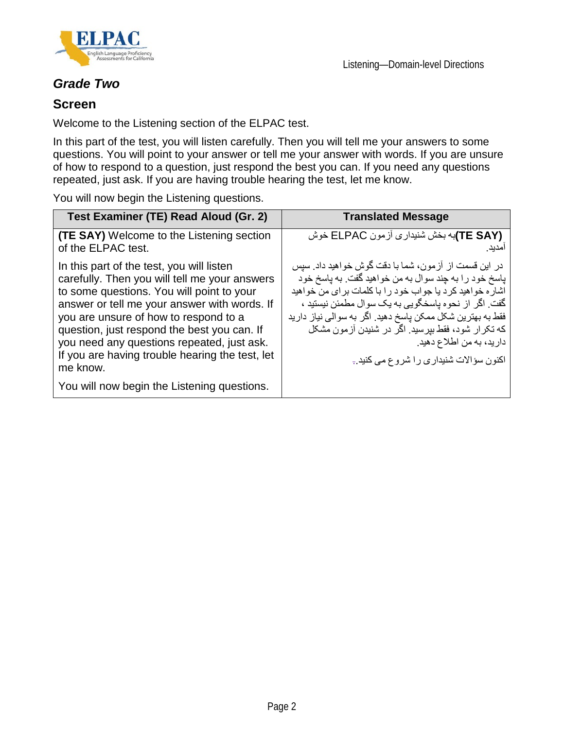



#### *Grade Two*

#### **Screen**

Welcome to the Listening section of the ELPAC test.

In this part of the test, you will listen carefully. Then you will tell me your answers to some questions. You will point to your answer or tell me your answer with words. If you are unsure of how to respond to a question, just respond the best you can. If you need any questions repeated, just ask. If you are having trouble hearing the test, let me know.

You will now begin the Listening questions.

| Test Examiner (TE) Read Aloud (Gr. 2)                                                                                                                                                                                                                                                                                                                                                                                                       | <b>Translated Message</b>                                                                                                                                                                                                                                                                                                                                                                                                    |
|---------------------------------------------------------------------------------------------------------------------------------------------------------------------------------------------------------------------------------------------------------------------------------------------------------------------------------------------------------------------------------------------------------------------------------------------|------------------------------------------------------------------------------------------------------------------------------------------------------------------------------------------------------------------------------------------------------------------------------------------------------------------------------------------------------------------------------------------------------------------------------|
| <b>(TE SAY)</b> Welcome to the Listening section<br>of the ELPAC test.                                                                                                                                                                                                                                                                                                                                                                      | (TE SAY)به بخش شنیداری أزمون ELPAC خوش<br>امدبد ِ                                                                                                                                                                                                                                                                                                                                                                            |
| In this part of the test, you will listen<br>carefully. Then you will tell me your answers<br>to some questions. You will point to your<br>answer or tell me your answer with words. If<br>you are unsure of how to respond to a<br>question, just respond the best you can. If<br>you need any questions repeated, just ask.<br>If you are having trouble hearing the test, let<br>me know.<br>You will now begin the Listening questions. | در این قسمت از آزمون، شما با دقت گوش خواهید داد. سیس<br>پاسخ خود را به چند سوال به من خواهید گفت. به پاسخ خود<br>اشار ه خواهید کر د یا جواب خود ر ا با کلمات بر ای من خواهید<br>گفت. اگر از نحوه پاسخگویی به یک سوال مطمئن نیستید ،<br>فقط به بهترین شکل ممکن پاسخ دهید. اگر به سوالی نیاز دارید<br>که تکر ار شود، فقط بیرسید. اگر در شنیدن آزمون مشکل<br>دارید، به من اطلاع دهید.<br>اکنون سؤالات شنیداری را شروع می کنید.- |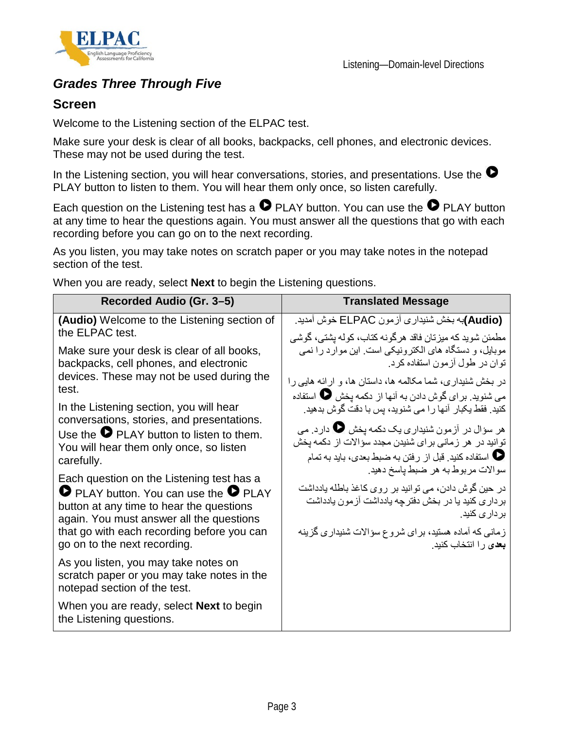



### *Grades Three Through Five*

#### **Screen**

Welcome to the Listening section of the ELPAC test.

Make sure your desk is clear of all books, backpacks, cell phones, and electronic devices. These may not be used during the test.

In the Listening section, you will hear conversations, stories, and presentations. Use the  $\bullet$ PLAY button to listen to them. You will hear them only once, so listen carefully.

Each question on the Listening test has a  $\bullet$  PLAY button. You can use the  $\bullet$  PLAY button at any time to hear the questions again. You must answer all the questions that go with each recording before you can go on to the next recording.

As you listen, you may take notes on scratch paper or you may take notes in the notepad section of the test.

When you are ready, select **Next** to begin the Listening questions.

| Recorded Audio (Gr. 3-5)                                                                                                                                                                                                               | <b>Translated Message</b>                                                                                                                                                                                                      |
|----------------------------------------------------------------------------------------------------------------------------------------------------------------------------------------------------------------------------------------|--------------------------------------------------------------------------------------------------------------------------------------------------------------------------------------------------------------------------------|
| (Audio) Welcome to the Listening section of<br>the ELPAC test.                                                                                                                                                                         | (Audio)به بخش شنیداری آزمون ELPAC خوش آمدید.<br>مطمئن شويد كه ميزتان فاقد هرگونه كتاب، كوله يشتى، گوشي                                                                                                                         |
| Make sure your desk is clear of all books,<br>backpacks, cell phones, and electronic<br>devices. These may not be used during the                                                                                                      | موبایل، و دستگاه های الکترونیکی است. این موارد را نمی<br>توان در طول آزمون استفاده کرد.<br>در بخش شنیداری، شما مکالمه ها، داستان ها، و ارائه هایی را                                                                           |
| test.<br>In the Listening section, you will hear<br>conversations, stories, and presentations.<br>Use the $\bullet$ PLAY button to listen to them.                                                                                     | می شنوید. بر ای گوش دادن به آنها از دکمه یخش �� استفاده<br>کنید. فقط یکبار آنها را می شنوید، پس با دقت گوش بدهید.<br>هر سؤال در آزمون شنیداری یک دکمه یخش یا دارد. می<br>توانید در هر زمانی برای شنیدن مجدد سؤالات از دکمه پخش |
| You will hear them only once, so listen<br>carefully.                                                                                                                                                                                  | <b>V</b> استفاده كنيد. قبل از رفتن به ضبط بعدي، بايد به تمام<br>سوالات مربوط به هر ضبط پاسخ دهيد.                                                                                                                              |
| Each question on the Listening test has a<br><b>O</b> PLAY button. You can use the <b>O</b> PLAY<br>button at any time to hear the questions<br>again. You must answer all the questions<br>that go with each recording before you can | در حين گوش دادن، مي توانيد بر روي كاغذ باطله يادداشت<br>برداری کنید یا در بخش دفترچه یادداشت آزمون یادداشت<br>بر دار <i>ی</i> کنید.                                                                                            |
| go on to the next recording.                                                                                                                                                                                                           | زمانی که آماده هستید، بر ای شروع سؤالات شنیداری گزینه<br><b>بعد</b> ی را انتخاب کنید.                                                                                                                                          |
| As you listen, you may take notes on<br>scratch paper or you may take notes in the<br>notepad section of the test.                                                                                                                     |                                                                                                                                                                                                                                |
| When you are ready, select <b>Next</b> to begin<br>the Listening questions.                                                                                                                                                            |                                                                                                                                                                                                                                |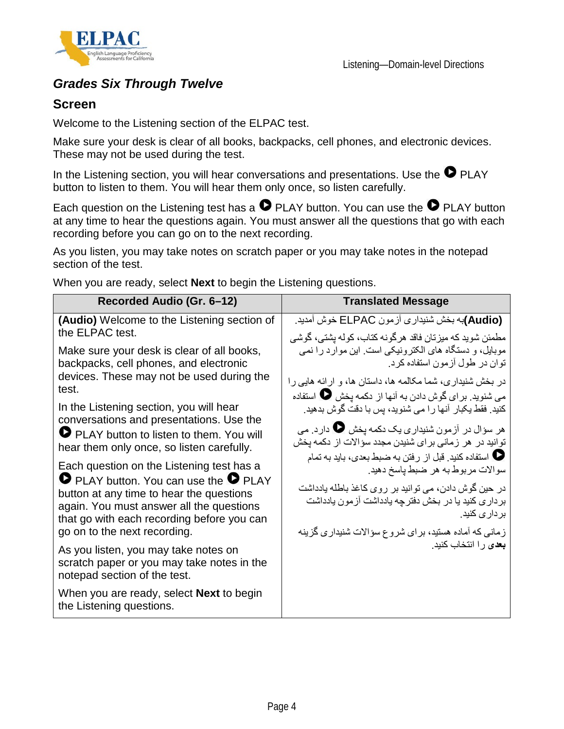



### *Grades Six Through Twelve*

#### **Screen**

Welcome to the Listening section of the ELPAC test.

Make sure your desk is clear of all books, backpacks, cell phones, and electronic devices. These may not be used during the test.

In the Listening section, you will hear conversations and presentations. Use the  $\bullet$  PLAY button to listen to them. You will hear them only once, so listen carefully.

Each question on the Listening test has a  $\bullet$  PLAY button. You can use the  $\bullet$  PLAY button at any time to hear the questions again. You must answer all the questions that go with each recording before you can go on to the next recording.

As you listen, you may take notes on scratch paper or you may take notes in the notepad section of the test.

When you are ready, select **Next** to begin the Listening questions.

| Recorded Audio (Gr. 6-12)                                                                                                                                                                                                                                              | <b>Translated Message</b>                                                                                                                                                                                                                                                                                         |
|------------------------------------------------------------------------------------------------------------------------------------------------------------------------------------------------------------------------------------------------------------------------|-------------------------------------------------------------------------------------------------------------------------------------------------------------------------------------------------------------------------------------------------------------------------------------------------------------------|
| (Audio) Welcome to the Listening section of<br>the ELPAC test.                                                                                                                                                                                                         | (Audio)به بخش شنیداری آزمون ELPAC خوش آمدید.<br>مطمئن شويد كه ميز تان فاقد هر گونه كتاب، كوله بشتى، گوشى                                                                                                                                                                                                          |
| Make sure your desk is clear of all books,<br>backpacks, cell phones, and electronic<br>devices. These may not be used during the<br>test.                                                                                                                             | موبایل، و دستگاه های الکترونیکی است. این موارد را نمی<br>توان در طول آزمون استفاده کرد.<br>در بخش شنیداری، شما مکالمه ها، داستان ها، و ارائه هایی را                                                                                                                                                              |
| In the Listening section, you will hear<br>conversations and presentations. Use the<br>PLAY button to listen to them. You will<br>hear them only once, so listen carefully.                                                                                            | می شنوید. بر ای گوش دادن به آنها از دکمه یخش $\bullet$ استفاده<br>کنید. فقط یکبار آنها را می شنوید، پس با دقت گوش بدهید.<br>هر سؤال در آزمون شنیداری یک دکمه یخش یا دارد. می<br>توانید در هر زمانی برای شنیدن مجدد سؤالات از دکمه یخش                                                                             |
| Each question on the Listening test has a<br><b>O</b> PLAY button. You can use the <b>O</b> PLAY<br>button at any time to hear the questions<br>again. You must answer all the questions<br>that go with each recording before you can<br>go on to the next recording. | <b>ل</b> استفاده كنيد. قبل از رفتن به ضبط بعدي، بايد به تمام <b>الله</b><br>سوالات مربوط به هر ضبط پاسخ دهيد.<br>در حين گوش دادن، مي توانيد بر روي كاغذ باطله يادداشت<br>بر دار ی کنید یا در بخش دفتر چه یادداشت آز مون یادداشت<br>بر دار <i>ی</i> کنید.<br>زمانی که آماده هستید، بر ای شروع سؤالات شنیداری گزینه |
| As you listen, you may take notes on<br>scratch paper or you may take notes in the<br>notepad section of the test.                                                                                                                                                     | <b>بعد</b> ی را انتخاب کنید.                                                                                                                                                                                                                                                                                      |
| When you are ready, select <b>Next</b> to begin<br>the Listening questions.                                                                                                                                                                                            |                                                                                                                                                                                                                                                                                                                   |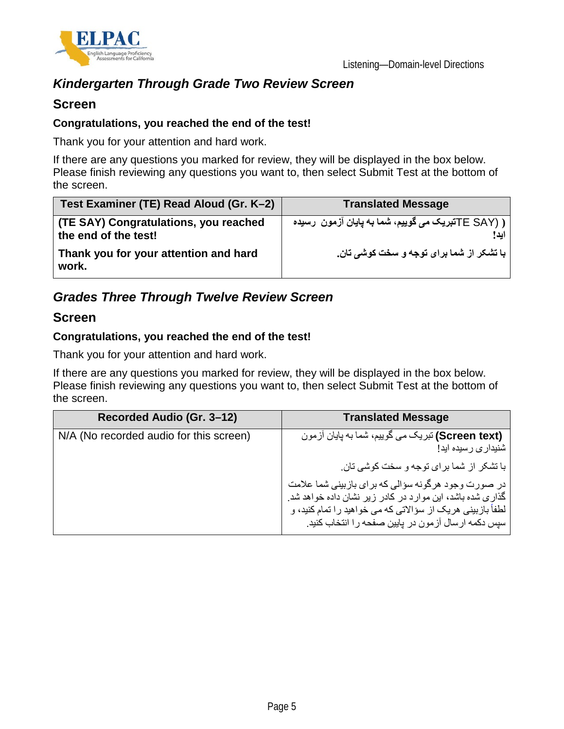

### *Kindergarten Through Grade Two Review Screen*

#### **Screen**

#### **Congratulations, you reached the end of the test!**

Thank you for your attention and hard work.

If there are any questions you marked for review, they will be displayed in the box below. Please finish reviewing any questions you want to, then select Submit Test at the bottom of the screen.

| Test Examiner (TE) Read Aloud (Gr. K-2)                       | <b>Translated Message</b>                                     |
|---------------------------------------------------------------|---------------------------------------------------------------|
| (TE SAY) Congratulations, you reached<br>the end of the test! | ر (TE SAYشبریک می گوییم، شما به پایان آزمون  رسیده (<br>ابد ! |
| Thank you for your attention and hard<br>work.                | با تشکر از شما برای توجه و سخت کوشی تان.                      |

### *Grades Three Through Twelve Review Screen*

#### **Screen**

#### **Congratulations, you reached the end of the test!**

Thank you for your attention and hard work.

If there are any questions you marked for review, they will be displayed in the box below. Please finish reviewing any questions you want to, then select Submit Test at the bottom of the screen.

| Recorded Audio (Gr. 3-12)               | <b>Translated Message</b>                                                                                                                                                                                                            |
|-----------------------------------------|--------------------------------------------------------------------------------------------------------------------------------------------------------------------------------------------------------------------------------------|
| N/A (No recorded audio for this screen) | (Screen text) تبریک می گوییم، شما به پایان آزمون<br>شنیدار ی ر سیده اید!                                                                                                                                                             |
|                                         | با تشکر از شما برای توجه و سخت کوشی تان.                                                                                                                                                                                             |
|                                         | در صورت وجود هرگونه سؤالی که برای بازبینی شما علامت<br>گذاری شده باشد، این موارد در کادر زیر نشان داده خواهد شد.<br>لطفاً بازبینی هریک از سؤالاتی که می خواهید را تمام کنید، و<br>سپس دکمه ارسال آزمون در پایین صفحه را انتخاب کنید. |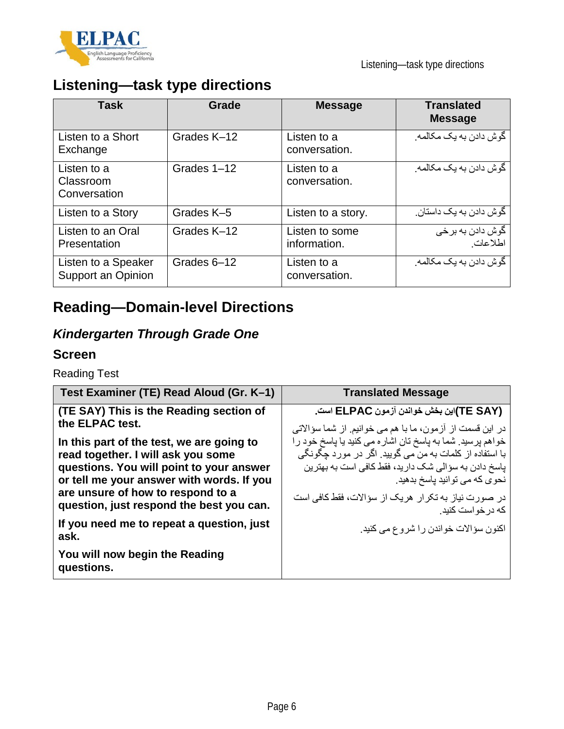

# **Listening—task type directions**

| <b>Task</b>                               | Grade       | <b>Message</b>                 | <b>Translated</b><br><b>Message</b>         |
|-------------------------------------------|-------------|--------------------------------|---------------------------------------------|
| Listen to a Short<br>Exchange             | Grades K-12 | Listen to a<br>conversation.   | گو ش دادن به یک مکالمه.                     |
| Listen to a<br>Classroom<br>Conversation  | Grades 1-12 | Listen to a<br>conversation.   | گو ش دادن به یک مکالمه.                     |
| Listen to a Story                         | Grades K-5  | Listen to a story.             | گو ش دادن به یک داستان.                     |
| Listen to an Oral<br>Presentation         | Grades K-12 | Listen to some<br>information. | گوش داد <i>ن</i> به برخ <i>ی</i><br>اطلاعات |
| Listen to a Speaker<br>Support an Opinion | Grades 6-12 | Listen to a<br>conversation.   | گو ش دادن به یک مکالمه.                     |

# **Reading—Domain-level Directions**

### *Kindergarten Through Grade One*

#### **Screen**

Reading Test

| Test Examiner (TE) Read Aloud (Gr. K-1)                                                                                                                                                                                                                   | <b>Translated Message</b>                                                                                                                                                                                                                                                                |
|-----------------------------------------------------------------------------------------------------------------------------------------------------------------------------------------------------------------------------------------------------------|------------------------------------------------------------------------------------------------------------------------------------------------------------------------------------------------------------------------------------------------------------------------------------------|
| (TE SAY) This is the Reading section of<br>the ELPAC test.                                                                                                                                                                                                | (TE SAY)این بخش خواندن آزمون ELPAC است.<br>در این قسمت از آزمون، ما با هم می خوانیم. از شما سؤالاتی                                                                                                                                                                                      |
| In this part of the test, we are going to<br>read together. I will ask you some<br>questions. You will point to your answer<br>or tell me your answer with words. If you<br>are unsure of how to respond to a<br>question, just respond the best you can. | خواهم پرسید. شما به پاسخ تان اشاره می کنید یا پاسخ خود را<br>با استفاده از كلمات به من مي گوييد. اگر در مورد چگونگي<br>پاسخ دادن به سؤالی شک دارید، فقط کافی است به بهترین<br>نحوی که می توانید پاسخ بدهید.<br>در صورت نیاز به تکرار هریک از سؤالات، فقط کافی است<br>که در خو است کنبد ِ |
| If you need me to repeat a question, just<br>ask.                                                                                                                                                                                                         | اکنون سؤالات خواندن را شروع می کنید.                                                                                                                                                                                                                                                     |
| You will now begin the Reading<br>questions.                                                                                                                                                                                                              |                                                                                                                                                                                                                                                                                          |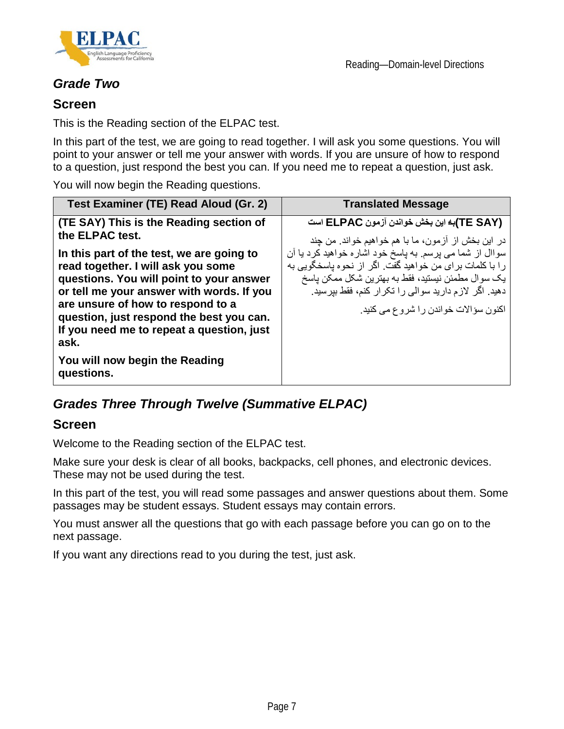

### *Grade Two*

#### **Screen**

This is the Reading section of the ELPAC test.

In this part of the test, we are going to read together. I will ask you some questions. You will point to your answer or tell me your answer with words. If you are unsure of how to respond to a question, just respond the best you can. If you need me to repeat a question, just ask.

You will now begin the Reading questions.

| Test Examiner (TE) Read Aloud (Gr. 2)                                                                                                                                                                                                                                                                                                                          | <b>Translated Message</b>                                                                                                                                                                                                                                               |
|----------------------------------------------------------------------------------------------------------------------------------------------------------------------------------------------------------------------------------------------------------------------------------------------------------------------------------------------------------------|-------------------------------------------------------------------------------------------------------------------------------------------------------------------------------------------------------------------------------------------------------------------------|
| (TE SAY) This is the Reading section of<br>the ELPAC test.                                                                                                                                                                                                                                                                                                     | (TE SAY)به این بخش خواندن آزمون ELPAC است<br>در این بخش از آزمون، ما با هم خواهیم خواند. من چند                                                                                                                                                                         |
| In this part of the test, we are going to<br>read together. I will ask you some<br>questions. You will point to your answer<br>or tell me your answer with words. If you<br>are unsure of how to respond to a<br>question, just respond the best you can.<br>If you need me to repeat a question, just<br>ask.<br>You will now begin the Reading<br>questions. | سواال از شما می پرسم به پاسخ خود اشاره خواهید کرد یا آن<br>را با كلمات براي من خواهيد گفت. اگر از نحوه باسخگويي به<br>يک سوال مطمئن نيستيد، فقط به بهترين شکل ممکن ياسخ<br>دهید. اگر لازم دارید سوالی را تکرار کنم، فقط بیرسید.<br>اکنون سؤالات خواندن را شروع می کنید. |

### *Grades Three Through Twelve (Summative ELPAC)*

#### **Screen**

Welcome to the Reading section of the ELPAC test.

Make sure your desk is clear of all books, backpacks, cell phones, and electronic devices. These may not be used during the test.

In this part of the test, you will read some passages and answer questions about them. Some passages may be student essays. Student essays may contain errors.

You must answer all the questions that go with each passage before you can go on to the next passage.

If you want any directions read to you during the test, just ask.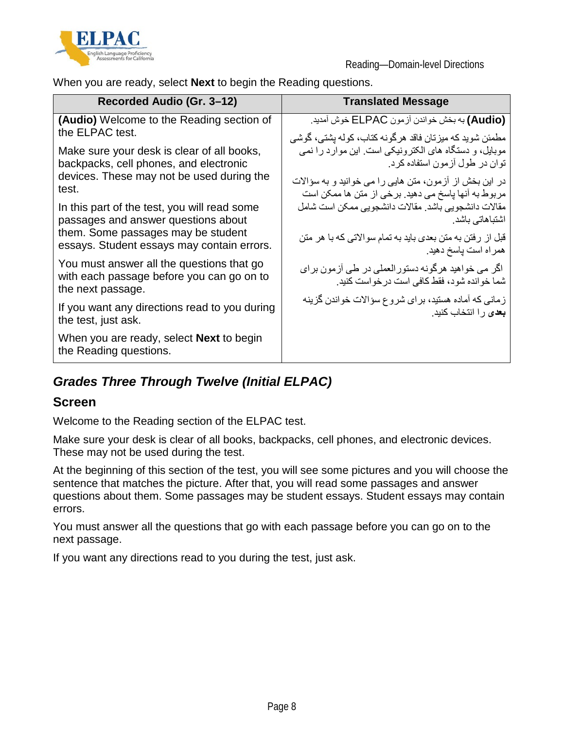

When you are ready, select **Next** to begin the Reading questions.

| Recorded Audio (Gr. 3–12)                                                                                   | <b>Translated Message</b>                                                                        |
|-------------------------------------------------------------------------------------------------------------|--------------------------------------------------------------------------------------------------|
| (Audio) Welcome to the Reading section of                                                                   | (Audio) به بخش خواندن أزمون ELPAC خوش أمديد.                                                     |
| the ELPAC test.                                                                                             | ِ مطمئن شوید که میز تان فاقد هر گونه کتاب، کوله بشتی، گوشی                                       |
| Make sure your desk is clear of all books,                                                                  | موبایل، و دستگاه های الکترونیکی است. این موارد را نمی                                            |
| backpacks, cell phones, and electronic                                                                      | توان در طول آزمون استفاده کرد.                                                                   |
| devices. These may not be used during the                                                                   | در این بخش از آزمون، متن هایی را می خوانید و به سؤالات                                           |
| test.                                                                                                       | مربوط به آنها پاسخ می دهید. برخی از متن ها ممکن است                                              |
| In this part of the test, you will read some                                                                | مقالات دانشجويي باشد. مقالات دانشجويي ممكن است شامل                                              |
| passages and answer questions about                                                                         | اشتباهاتی باشد.                                                                                  |
| them. Some passages may be student                                                                          | قبل از رفتن به متن بعدی باید به تمام سوالاتی که با هر متن                                        |
| essays. Student essays may contain errors.                                                                  | همراه است ياسخ دهيد.                                                                             |
| You must answer all the questions that go<br>with each passage before you can go on to<br>the next passage. | اگر می خواهید هرگونه دستورالعملی در طی آزمون برای<br>شما خوانده شود، فقط كافي است در خواست كنيد. |
| If you want any directions read to you during                                                               | زمانی که آماده هستید، بر ای شروع سؤالات خواندن گزینه                                             |
| the test, just ask.                                                                                         | <b>بعد</b> ی ر ا انتخاب کنید.                                                                    |
| When you are ready, select <b>Next</b> to begin<br>the Reading questions.                                   |                                                                                                  |

### *Grades Three Through Twelve (Initial ELPAC)*

#### **Screen**

Welcome to the Reading section of the ELPAC test.

Make sure your desk is clear of all books, backpacks, cell phones, and electronic devices. These may not be used during the test.

At the beginning of this section of the test, you will see some pictures and you will choose the sentence that matches the picture. After that, you will read some passages and answer questions about them. Some passages may be student essays. Student essays may contain errors.

You must answer all the questions that go with each passage before you can go on to the next passage.

If you want any directions read to you during the test, just ask.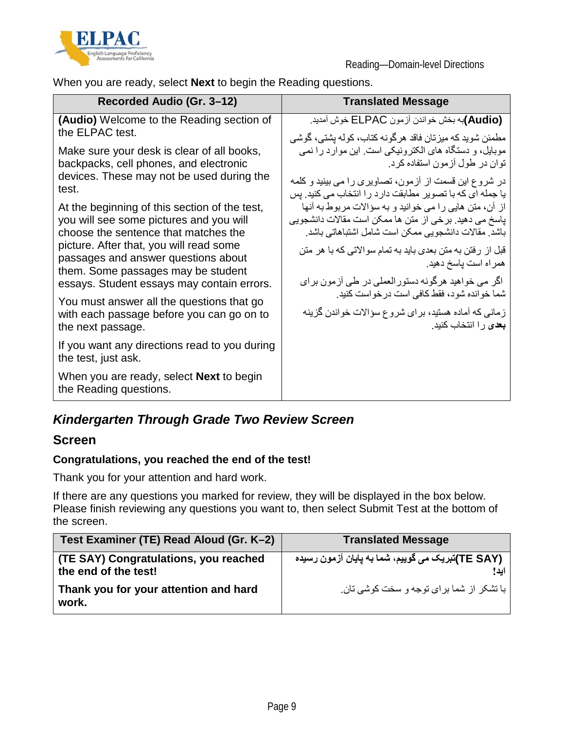

When you are ready, select **Next** to begin the Reading questions.

| Recorded Audio (Gr. 3-12)                                                                                                        | <b>Translated Message</b>                                                                                                                                              |
|----------------------------------------------------------------------------------------------------------------------------------|------------------------------------------------------------------------------------------------------------------------------------------------------------------------|
| (Audio) Welcome to the Reading section of<br>the ELPAC test.                                                                     | (Audio)به بخش خواندن أزمون ELPAC خوش أمديد.<br>مطمئن شوید که میزتان فاقد هرگونه کتاب، کوله بشتی، گوشی                                                                  |
| Make sure your desk is clear of all books,<br>backpacks, cell phones, and electronic                                             | موبایل، و دستگاه های الکترونیکی است. این موارد را نمی<br>توان در طول آزمون استفاده کرد.                                                                                |
| devices. These may not be used during the<br>test.                                                                               | در شروع این قسمت از آزمون، تصاویری را می بینید و کلمه<br>یا جمله ای که با تصویر مطابقت دارد را انتخاب می کنید. پس                                                      |
| At the beginning of this section of the test,<br>you will see some pictures and you will<br>choose the sentence that matches the | از آن، متن هایی را می خوانید و به سؤالات مربوط به آنها<br>پاسخ می دهید. برخی از متن ها ممکن است مقالات دانشجویی<br>باشد. مقالات دانشجویی ممکن است شامل اشتباهاتی باشد. |
| picture. After that, you will read some<br>passages and answer questions about<br>them. Some passages may be student             | قبل از رفتن به متن بعدي بايد به تمام سوالاتي كه با هر متن<br>همراه است پاسخ دهید.                                                                                      |
| essays. Student essays may contain errors.                                                                                       | اگر می خواهید هرگونه دستورالعملی در طی آزمون برای<br>شما خوانده شود، فقط كافي است در خواست كنيد.                                                                       |
| You must answer all the questions that go<br>with each passage before you can go on to<br>the next passage.                      | زمانی که آماده هستید، بر ای شروع سؤالات خواندن گزینه<br><b>بعد</b> ی را انتخاب کنید.                                                                                   |
| If you want any directions read to you during<br>the test, just ask.                                                             |                                                                                                                                                                        |
| When you are ready, select <b>Next</b> to begin<br>the Reading questions.                                                        |                                                                                                                                                                        |

### *Kindergarten Through Grade Two Review Screen*

#### **Screen**

#### **Congratulations, you reached the end of the test!**

Thank you for your attention and hard work.

If there are any questions you marked for review, they will be displayed in the box below. Please finish reviewing any questions you want to, then select Submit Test at the bottom of the screen.

| Test Examiner (TE) Read Aloud (Gr. K-2)                       | <b>Translated Message</b>                        |
|---------------------------------------------------------------|--------------------------------------------------|
| (TE SAY) Congratulations, you reached<br>the end of the test! | (TE SAY)تبریک می گوییم، شما به پایان آزمون رسیده |
| Thank you for your attention and hard<br>work.                | با تشکر ِ از شما بر ای توجه و سخت کوشی تان.      |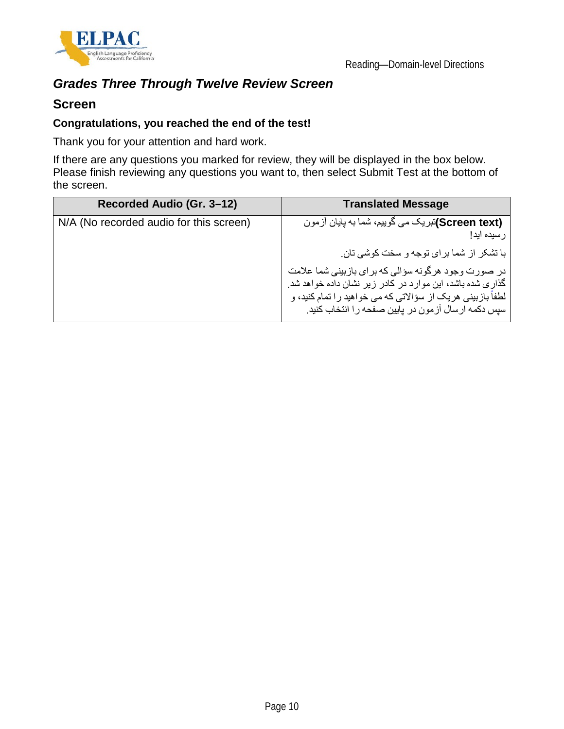

### *Grades Three Through Twelve Review Screen*

#### **Screen**

#### **Congratulations, you reached the end of the test!**

Thank you for your attention and hard work.

If there are any questions you marked for review, they will be displayed in the box below. Please finish reviewing any questions you want to, then select Submit Test at the bottom of the screen.

| Recorded Audio (Gr. 3-12)               | <b>Translated Message</b>                                                                                                                                                                                                            |
|-----------------------------------------|--------------------------------------------------------------------------------------------------------------------------------------------------------------------------------------------------------------------------------------|
| N/A (No recorded audio for this screen) | (Screen text)تبریک می گوییم، شما به پایان آزمون<br>رسيده ايد!                                                                                                                                                                        |
|                                         | با تشکر ٍ از شما برای توجه و سخت کوشی تان.                                                                                                                                                                                           |
|                                         | در صورت وجود هرگونه سؤالی که برای بازبینی شما علامت<br>گذاری شده باشد، این موارد در کادر زیر نشان داده خواهد شد.<br>لطفاً بازبینی هریک از سؤالاتی که می خواهید را تمام کنید، و<br>سپس دکمه ارسال آزمون در پایین صفحه را انتخاب کنید. |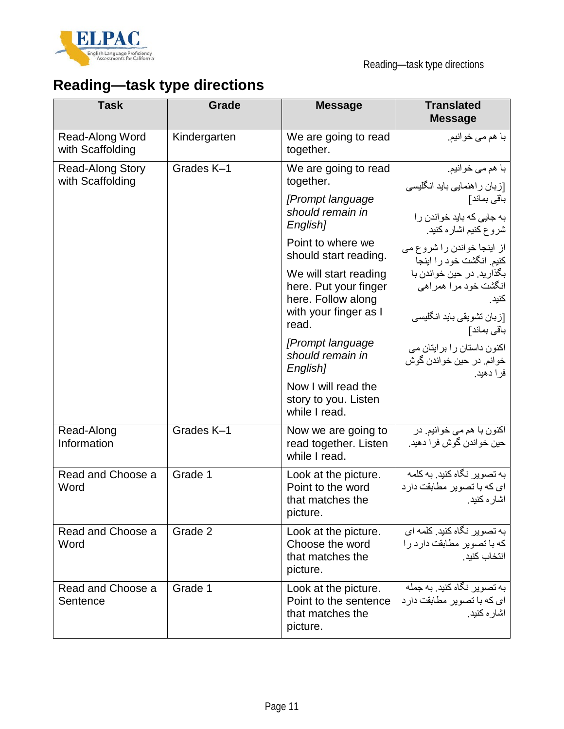

# **Reading—task type directions**

| <b>Task</b>                                 | <b>Grade</b> | <b>Message</b>                                                                | <b>Translated</b><br><b>Message</b>                                             |
|---------------------------------------------|--------------|-------------------------------------------------------------------------------|---------------------------------------------------------------------------------|
| Read-Along Word<br>with Scaffolding         | Kindergarten | We are going to read<br>together.                                             | با هم مي خوانيم.                                                                |
| <b>Read-Along Story</b><br>with Scaffolding | Grades K-1   | We are going to read<br>together.                                             | با هم مي خوانيم.<br>[زبان راهنمایی باید انگلیسی                                 |
|                                             |              | [Prompt language<br>should remain in<br>English]                              | باقى بماند]<br>به جایی که باید خواندن را                                        |
|                                             |              | Point to where we<br>should start reading.                                    | شروع كنيم اشاره كنيد.<br>از اینجا خواندن را شروع می<br>كنيم. انگشت خود را اينجا |
|                                             |              | We will start reading<br>here. Put your finger<br>here. Follow along          | بگذار يد. در حين خواندن با<br>انگشت خود مر ا همر اهی<br>كنيد.                   |
|                                             |              | with your finger as I<br>read.                                                | [زبان تشويقي بايد انگليسي<br>باقى بماند]                                        |
|                                             |              | [Prompt language]<br>should remain in<br>English]                             | اکنون داستان را بر ایتان می<br>خوانم. در حين خواندن گوش<br>فرادهيد.             |
|                                             |              | Now I will read the<br>story to you. Listen<br>while I read.                  |                                                                                 |
| Read-Along<br>Information                   | Grades K-1   | Now we are going to<br>read together. Listen<br>while I read.                 | اکنون با هم مي خوانيم. در<br>حين خواندن گوش فرا دهيد.                           |
| Read and Choose a<br>Word                   | Grade 1      | Look at the picture.<br>Point to the word<br>that matches the<br>picture.     | به تصویر نگاه کنید. به کلمه<br>ای که با تصویر مطابقت دارد<br>اشار ء كنيد.       |
| Read and Choose a<br>Word                   | Grade 2      | Look at the picture.<br>Choose the word<br>that matches the<br>picture.       | به تصویر نگاه کنید. کلمه ای<br>كه با تصوير مطابقت دارد را<br>انتخاب كنيد.       |
| Read and Choose a<br>Sentence               | Grade 1      | Look at the picture.<br>Point to the sentence<br>that matches the<br>picture. | به تصویر نگاه کنید. به جمله<br>ای که با تصویر مطابقت دارد<br>اشار ء كنيد.       |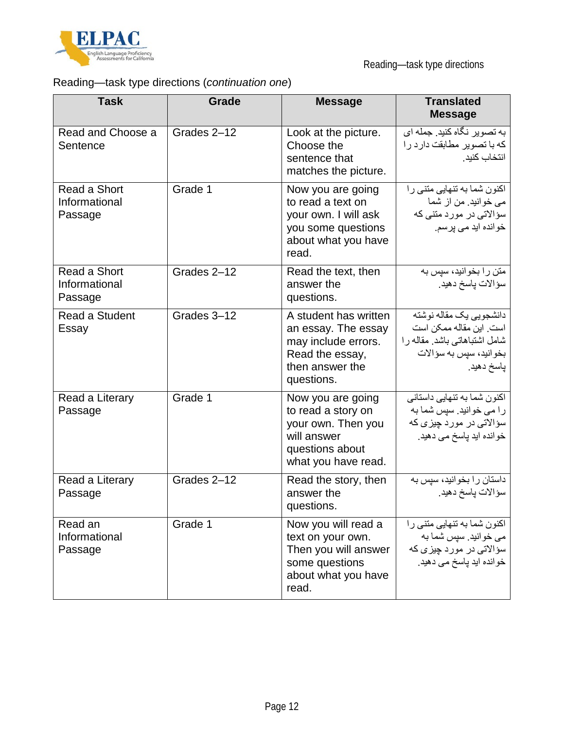

### Reading—task type directions (*continuation one*)

| <b>Task</b>                              | Grade       | <b>Message</b>                                                                                                          | <b>Translated</b><br><b>Message</b>                                                                                         |
|------------------------------------------|-------------|-------------------------------------------------------------------------------------------------------------------------|-----------------------------------------------------------------------------------------------------------------------------|
| Read and Choose a<br>Sentence            | Grades 2-12 | Look at the picture.<br>Choose the<br>sentence that<br>matches the picture.                                             | به تصویر نگاه کنید. جمله ای<br>كه با تصوير مطابقت دارد را<br>انتخاب كنيد.                                                   |
| Read a Short<br>Informational<br>Passage | Grade 1     | Now you are going<br>to read a text on<br>your own. I will ask<br>you some questions<br>about what you have<br>read.    | اکنون شما به تنهایی مننی را<br>می خوانید. من از شما<br>سؤالاتی در مورد متنی که<br>خوانده اید می پرسم.                       |
| Read a Short<br>Informational<br>Passage | Grades 2-12 | Read the text, then<br>answer the<br>questions.                                                                         | متن را بخوانید، سپس به<br>سؤالات ياسخ دهيد.                                                                                 |
| Read a Student<br>Essay                  | Grades 3-12 | A student has written<br>an essay. The essay<br>may include errors.<br>Read the essay,<br>then answer the<br>questions. | دانشجويي يك مقاله نوشته<br>است. این مقاله ممکن است<br>شامل اشتباهاتي باشد. مقاله را<br>بخوانيد، سيس به سوالات<br>پاسخ دهيد. |
| Read a Literary<br>Passage               | Grade 1     | Now you are going<br>to read a story on<br>your own. Then you<br>will answer<br>questions about<br>what you have read.  | اکنون شما به تنهایی داستانی<br>را می خوانید. سپس شما به<br>سؤالات <i>ی</i> در مورد چیزی که<br>خوانده اید پاسخ می دهید.      |
| Read a Literary<br>Passage               | Grades 2-12 | Read the story, then<br>answer the<br>questions.                                                                        | داستان را بخوانید، سپس به<br>سؤالات ياسخ دهيد.                                                                              |
| Read an<br>Informational<br>Passage      | Grade 1     | Now you will read a<br>text on your own.<br>Then you will answer<br>some questions<br>about what you have<br>read.      | اکنون شما به تنهایی متنی را<br>می خوانید. سپس شما به<br>سؤالاتی در مورد چیزی که<br>خوانده اید پاسخ می دهید.                 |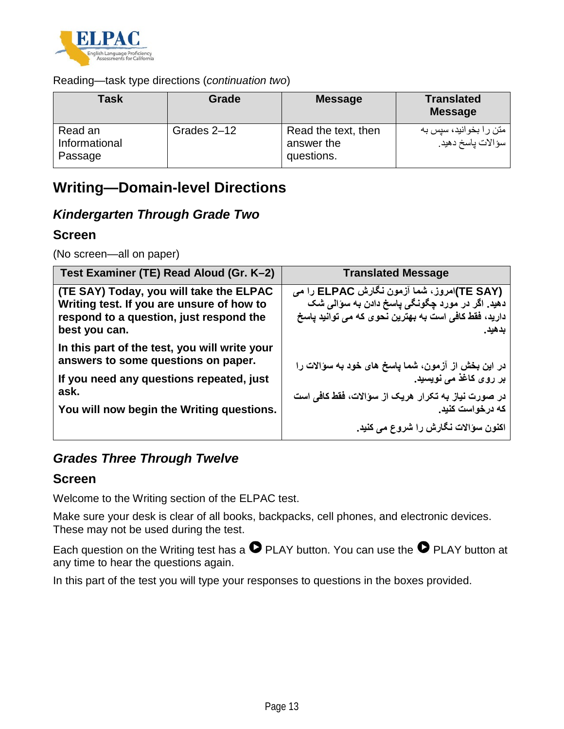

#### Reading—task type directions (*continuation two*)

| Task                                | Grade       | <b>Message</b>                                  | <b>Translated</b><br><b>Message</b>         |
|-------------------------------------|-------------|-------------------------------------------------|---------------------------------------------|
| Read an<br>Informational<br>Passage | Grades 2-12 | Read the text, then<br>answer the<br>questions. | متن را بخوانید، سپس به<br>سؤالات پاسخ دهيد. |

### **Writing—Domain-level Directions**

### *Kindergarten Through Grade Two*

#### **Screen**

(No screen—all on paper)

| Test Examiner (TE) Read Aloud (Gr. K-2)                                                                                                          | <b>Translated Message</b>                                                                                                                                       |
|--------------------------------------------------------------------------------------------------------------------------------------------------|-----------------------------------------------------------------------------------------------------------------------------------------------------------------|
| (TE SAY) Today, you will take the ELPAC<br>Writing test. If you are unsure of how to<br>respond to a question, just respond the<br>best you can. | (TE SAY)امروز، شما آزمون نگارش ELPAC را می<br>دهید. اگر در مورد چگونگی پاسخ دادن به سوالی شک<br>دارید، فقط کافی است به بهترین نحوی که می توانید پاسخ<br>بدهيد ِ |
| In this part of the test, you will write your<br>answers to some questions on paper.<br>If you need any questions repeated, just                 | در این بخش از آزمون، شما پاسخ های خود به سوالات را<br>بر روی کاغذ می نویسید.                                                                                    |
| ask.<br>You will now begin the Writing questions.                                                                                                | در صورت نیاز به تکرار هریک از سوالات، فقط کافی است<br>که در خواست کنید.<br>اکنون سوالات نگارش را شروع می کنید.                                                  |

### *Grades Three Through Twelve*

#### **Screen**

Welcome to the Writing section of the ELPAC test.

Make sure your desk is clear of all books, backpacks, cell phones, and electronic devices. These may not be used during the test.

Each question on the Writing test has a  $\bullet$  PLAY button. You can use the  $\bullet$  PLAY button at any time to hear the questions again.

In this part of the test you will type your responses to questions in the boxes provided.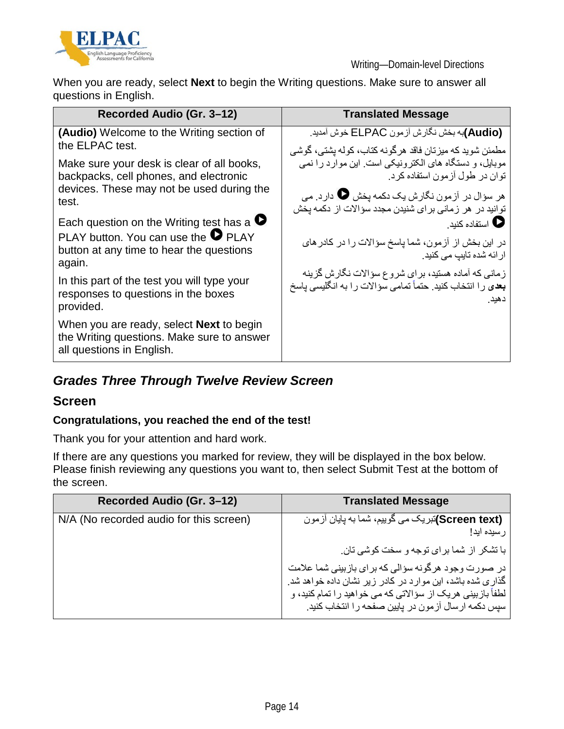

When you are ready, select **Next** to begin the Writing questions. Make sure to answer all questions in English.

| Recorded Audio (Gr. 3-12)                                                                                                  | <b>Translated Message</b>                                                       |
|----------------------------------------------------------------------------------------------------------------------------|---------------------------------------------------------------------------------|
| (Audio) Welcome to the Writing section of                                                                                  | (Audio)به بخش نگارش أزمون ELPAC خوش أمديد.                                      |
| the ELPAC test.                                                                                                            | مطمئن شوید که میز تان فاقد هرگونه کتاب، کوله پشتی، گوشی                         |
| Make sure your desk is clear of all books,                                                                                 | موبایل، و دستگاه های الکترونیکی است. این موارد را نمی                           |
| backpacks, cell phones, and electronic                                                                                     | توان در طول آزمون استفاده کرد.                                                  |
| devices. These may not be used during the                                                                                  | هر سؤال در آزمون نگارش یک دکمه یخش یا دارد. می                                  |
| test.                                                                                                                      | توانید در هر زمانی برای شنیدن مجدد سؤالات از دکمه پخش                           |
| Each question on the Writing test has a $\bullet$                                                                          | ● استفاده کنید ِ                                                                |
| PLAY button. You can use the $\bullet$ PLAY<br>button at any time to hear the questions<br>again.                          | در این بخش از آزمون، شما پاسخ سؤالات را در کادر های<br>ار ائه شده تایپ می کنید. |
| In this part of the test you will type your                                                                                | زمانی که آماده هستید، بر ای شروع سؤالات نگارش گزینه                             |
| responses to questions in the boxes                                                                                        | <b>بعد</b> ی را انتخاب کنید. حتماً تمامی سوالات را به انگلیسی پاسخ              |
| provided.                                                                                                                  | دهيد.                                                                           |
| When you are ready, select <b>Next</b> to begin<br>the Writing questions. Make sure to answer<br>all questions in English. |                                                                                 |

### *Grades Three Through Twelve Review Screen*

#### **Screen**

#### **Congratulations, you reached the end of the test!**

Thank you for your attention and hard work.

If there are any questions you marked for review, they will be displayed in the box below. Please finish reviewing any questions you want to, then select Submit Test at the bottom of the screen.

| Recorded Audio (Gr. 3-12)               | <b>Translated Message</b>                                                                                                                                                                                                            |
|-----------------------------------------|--------------------------------------------------------------------------------------------------------------------------------------------------------------------------------------------------------------------------------------|
| N/A (No recorded audio for this screen) | (Screen text)تبریک می گوییم، شما به پایان آزمون<br>ر سيده ايد!                                                                                                                                                                       |
|                                         | با تشکر از شما برای توجه و سخت کوشی تان.                                                                                                                                                                                             |
|                                         | در صورت وجود هرگونه سؤالی که برای بازبینی شما علامت<br>گذاری شده باشد، این موارد در کادر زیر نشان داده خواهد شد.<br>لطفاً بازبینی هریک از سؤالاتی که می خواهید را تمام کنید، و<br>سپس دکمه ارسال آزمون در پایین صفحه را انتخاب کنید. |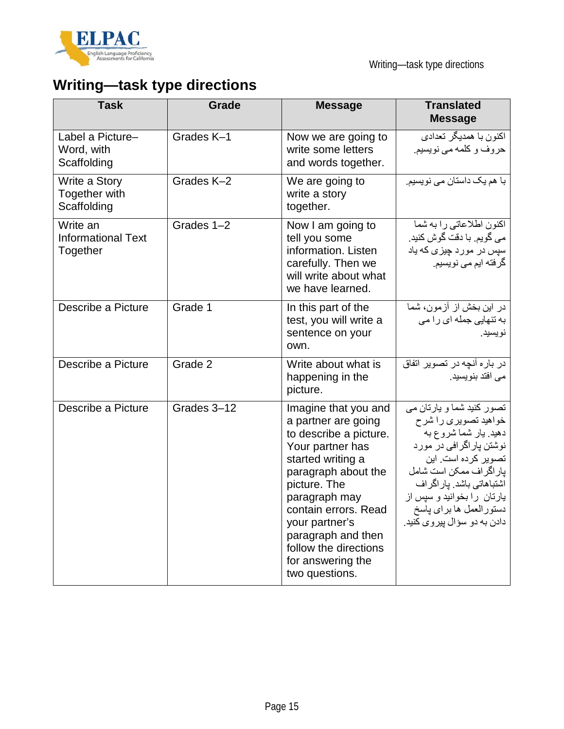

# **Writing—task type directions**

| <b>Task</b>                                       | Grade       | <b>Message</b>                                                                                                                                                                                                                                                                                         | <b>Translated</b><br><b>Message</b>                                                                                                                                                                                                                                            |
|---------------------------------------------------|-------------|--------------------------------------------------------------------------------------------------------------------------------------------------------------------------------------------------------------------------------------------------------------------------------------------------------|--------------------------------------------------------------------------------------------------------------------------------------------------------------------------------------------------------------------------------------------------------------------------------|
| Label a Picture-<br>Word, with<br>Scaffolding     | Grades K-1  | Now we are going to<br>write some letters<br>and words together.                                                                                                                                                                                                                                       | اكنون با همديگر تعداد <i>ي</i><br>حروف و كلمه مى نويسيم.                                                                                                                                                                                                                       |
| Write a Story<br>Together with<br>Scaffolding     | Grades K-2  | We are going to<br>write a story<br>together.                                                                                                                                                                                                                                                          | با هم یک داستان می نویسیم.                                                                                                                                                                                                                                                     |
| Write an<br><b>Informational Text</b><br>Together | Grades 1-2  | Now I am going to<br>tell you some<br>information. Listen<br>carefully. Then we<br>will write about what<br>we have learned.                                                                                                                                                                           | اكنون اطلاعاتي را به شما<br>می گویم. با دقت گوش کنید.<br>سپس در مورد چیزی که یاد<br>گرفته ایم می نویسیم.                                                                                                                                                                       |
| Describe a Picture                                | Grade 1     | In this part of the<br>test, you will write a<br>sentence on your<br>own.                                                                                                                                                                                                                              | در این بخش از آزمون، شما<br>به تنهایی جمله ای را می<br>نويسيد.                                                                                                                                                                                                                 |
| Describe a Picture                                | Grade 2     | Write about what is<br>happening in the<br>picture.                                                                                                                                                                                                                                                    | در باره آنچه در تصویر اتفاق<br>می افتد بنویسید.                                                                                                                                                                                                                                |
| Describe a Picture                                | Grades 3-12 | Imagine that you and<br>a partner are going<br>to describe a picture.<br>Your partner has<br>started writing a<br>paragraph about the<br>picture. The<br>paragraph may<br>contain errors. Read<br>your partner's<br>paragraph and then<br>follow the directions<br>for answering the<br>two questions. | تصور کنید شما و پارتان می<br>خواهید تصویری را شرح<br>دهید. بار شما شروع به<br>نوشتن پاراگرافی در مورد<br>تصویر کرده است. این<br>پار اگر اف ممکن است شامل<br>اشتباهاتی باشد. پار اگر اف<br>یارتان را بخوانید و سپس از<br>دستورالعمل ها براي پاسخ<br>دادن به دو سؤال پیروی کنید. |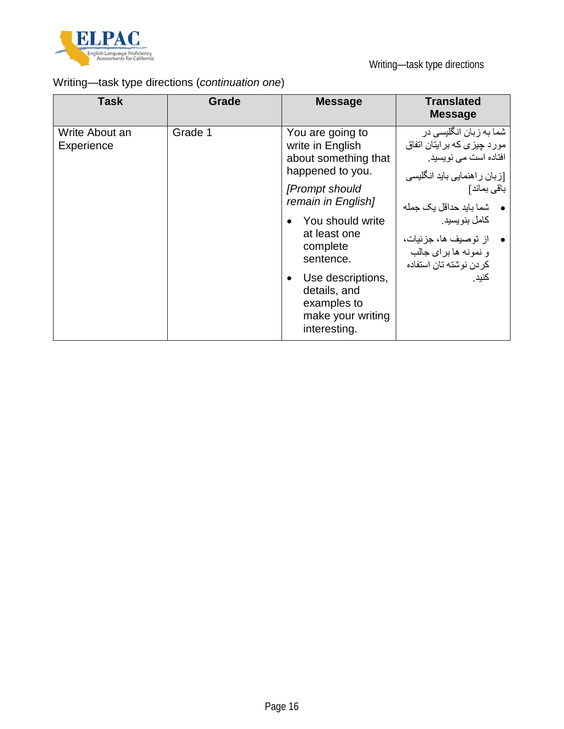

### Writing—task type directions (*continuation one*)

| <b>Task</b>                  | Grade   | <b>Message</b>                                                                                                                                                                                                                                                                 | <b>Translated</b><br><b>Message</b>                                                                                                                                                                                                                                      |
|------------------------------|---------|--------------------------------------------------------------------------------------------------------------------------------------------------------------------------------------------------------------------------------------------------------------------------------|--------------------------------------------------------------------------------------------------------------------------------------------------------------------------------------------------------------------------------------------------------------------------|
| Write About an<br>Experience | Grade 1 | You are going to<br>write in English<br>about something that<br>happened to you.<br>[Prompt should<br>remain in English]<br>You should write<br>at least one<br>complete<br>sentence.<br>Use descriptions,<br>details, and<br>examples to<br>make your writing<br>interesting. | شما به زبان انگلیسی در<br>مورد چیزی که بر ایتان اتفاق<br>افتاده است می نویسید.<br>[زبان راهنمایی باید انگلیسی<br>باقى بماند]<br>•       شما بايد حداقل يک جمله<br>کامل بنو پسید.<br>• از توصيف ها، جزئيات،<br>و نمونه ها بر ای جالب<br>كر دن نو شته تان استفاده<br>كنيد. |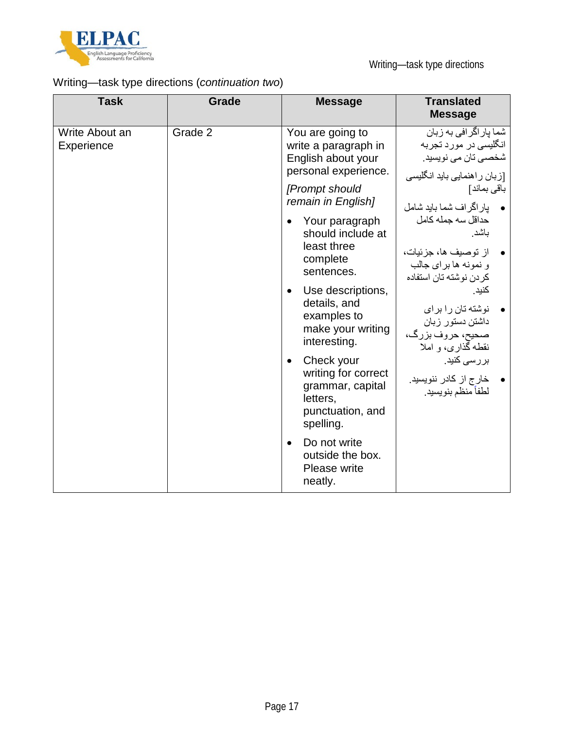

### Writing—task type directions (*continuation two*)

| <b>Task</b>                  | <b>Grade</b> | <b>Message</b>                                                                                                  | <b>Translated</b><br><b>Message</b>                                                                     |
|------------------------------|--------------|-----------------------------------------------------------------------------------------------------------------|---------------------------------------------------------------------------------------------------------|
| Write About an<br>Experience | Grade 2      | You are going to<br>write a paragraph in<br>English about your<br>personal experience.                          | شما پار اگر افی به زبان<br>انگلیسی در مورد تجربه<br>شخصبي تان مي نويسيد.<br>[زبان راهنمایی باید انگلیسی |
|                              |              | [Prompt should<br>remain in English]                                                                            | باقى بماند]<br>• پاراگراف شما بايد شامل                                                                 |
|                              |              | Your paragraph<br>$\bullet$<br>should include at<br>least three<br>complete<br>sentences.                       | حداقل سه جمله كامل<br>باشد.<br>از توصيف ها، جزئيات،<br>و نمونه ها براي جالب<br>كر دن نوشته تان استفاده  |
|                              |              | Use descriptions,<br>$\bullet$<br>details, and<br>examples to<br>make your writing<br>interesting.              | كنيد.<br>نوشته تان را برای<br>داشتن دستور زبان<br>صحيح، حروف بزرگ،<br>نقطه گذاری، و املا                |
|                              |              | Check your<br>$\bullet$<br>writing for correct<br>grammar, capital<br>letters,<br>punctuation, and<br>spelling. | بررسی کنید.<br>خار ج از كادر ننويسيد.<br>لطفأ منظم بنويسيد.                                             |
|                              |              | Do not write<br>$\bullet$<br>outside the box.<br>Please write<br>neatly.                                        |                                                                                                         |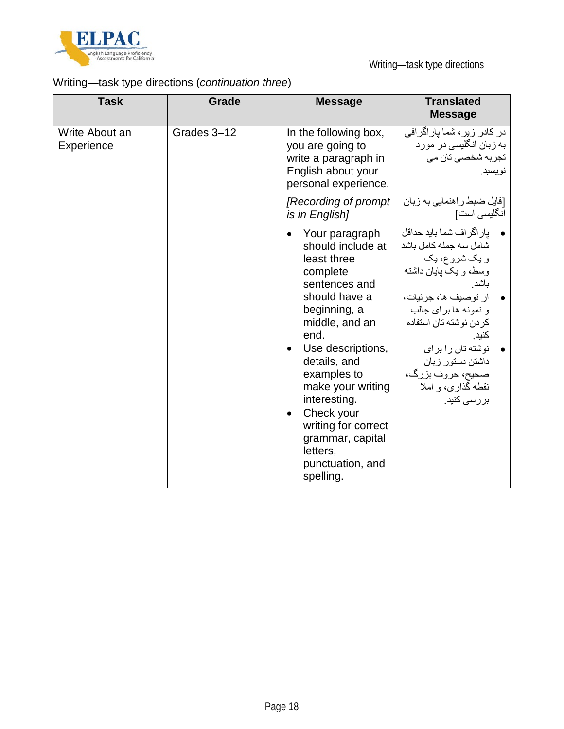

### Writing—task type directions (*continuation three*)

| <b>Task</b>                  | Grade       | <b>Message</b>                                                                                                                                                                                                                                                                                                                                                                   | <b>Translated</b><br><b>Message</b>                                                                                                                                                                                                                                                                  |
|------------------------------|-------------|----------------------------------------------------------------------------------------------------------------------------------------------------------------------------------------------------------------------------------------------------------------------------------------------------------------------------------------------------------------------------------|------------------------------------------------------------------------------------------------------------------------------------------------------------------------------------------------------------------------------------------------------------------------------------------------------|
| Write About an<br>Experience | Grades 3-12 | In the following box,<br>you are going to<br>write a paragraph in<br>English about your<br>personal experience.                                                                                                                                                                                                                                                                  | در کادر زیر ، شما پاراگرافی<br>به زبان انگلیسی در مورد<br>تجر به شخصبي تان مي<br>نويسيد.                                                                                                                                                                                                             |
|                              |             | [Recording of prompt]<br>is in English]                                                                                                                                                                                                                                                                                                                                          | [فایل ضبط ر اهنمایی به زبان<br>انگلیسی است]                                                                                                                                                                                                                                                          |
|                              |             | Your paragraph<br>$\bullet$<br>should include at<br>least three<br>complete<br>sentences and<br>should have a<br>beginning, a<br>middle, and an<br>end.<br>Use descriptions,<br>$\bullet$<br>details, and<br>examples to<br>make your writing<br>interesting.<br>Check your<br>$\bullet$<br>writing for correct<br>grammar, capital<br>letters,<br>punctuation, and<br>spelling. | يار اگر اف شما بايد حداقل<br>شامل سه جمله كامل باشد<br>و یک شروع، یک<br>وسط، و یک پایان داشته<br>باشد.<br>از توصيف ها، جزئيات،<br>و نمونه ها براي جالب<br>كر دن نوشته تان استفاده<br>كنيد.<br>نوشته تان را برای<br>داشتن دستور زبان<br>صحيح، حروف بزرگ،<br>نقطه گذاری، و املا<br>بررس <i>ی</i> کنید. |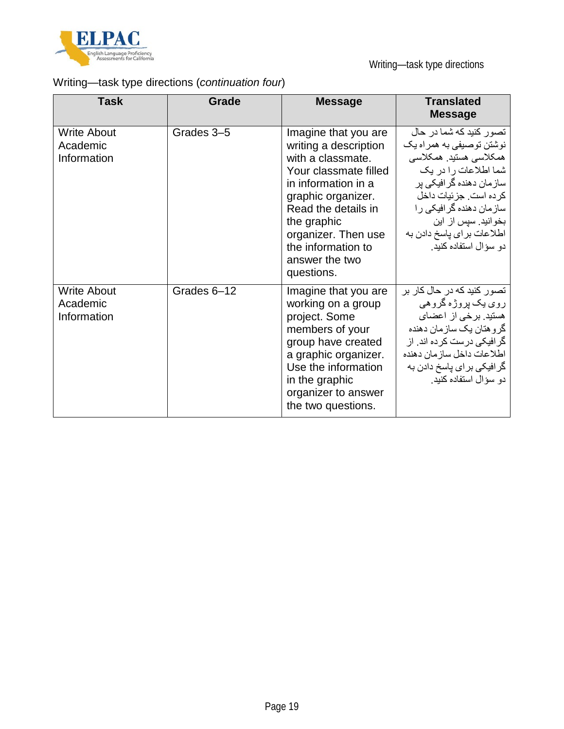

### Writing—task type directions (*continuation four*)

| <b>Task</b>                                   | Grade       | <b>Message</b>                                                                                                                                                                                                                                              | <b>Translated</b><br><b>Message</b>                                                                                                                                                                                                                                                      |
|-----------------------------------------------|-------------|-------------------------------------------------------------------------------------------------------------------------------------------------------------------------------------------------------------------------------------------------------------|------------------------------------------------------------------------------------------------------------------------------------------------------------------------------------------------------------------------------------------------------------------------------------------|
| <b>Write About</b><br>Academic<br>Information | Grades 3-5  | Imagine that you are<br>writing a description<br>with a classmate.<br>Your classmate filled<br>in information in a<br>graphic organizer.<br>Read the details in<br>the graphic<br>organizer. Then use<br>the information to<br>answer the two<br>questions. | تصور کنید که شما در حال<br>نوشتن توصبفي به همراه يک<br>همكلاسي هستيد. همكلاسي<br>شما اطلاعات را در یک<br>ساز <i>م</i> ا <i>ن</i> دهنده گر افیکی بر<br>كر ده است. جز ئيات داخل<br>ساز مان دهنده گر افیکی ر ا<br>بخوانید. سپس از این<br>اطلاعات برای پاسخ دادن به<br>دو سؤال استفاده کنید. |
| <b>Write About</b><br>Academic<br>Information | Grades 6-12 | Imagine that you are<br>working on a group<br>project. Some<br>members of your<br>group have created<br>a graphic organizer.<br>Use the information<br>in the graphic<br>organizer to answer<br>the two questions.                                          | تصور کنید که در حال کار بر<br>رو <i>ی</i> یک پروڑہ گروھی<br>هستید. برخی از اعضای<br>گر و هتان یک ساز مان دهنده<br>گر افیکی در ست کر ده اند. از<br>اطلاعات داخل سازمان دهنده<br>گرافیکی بر ای پاسخ دادن به<br>دو سؤال استفاده كنيد.                                                       |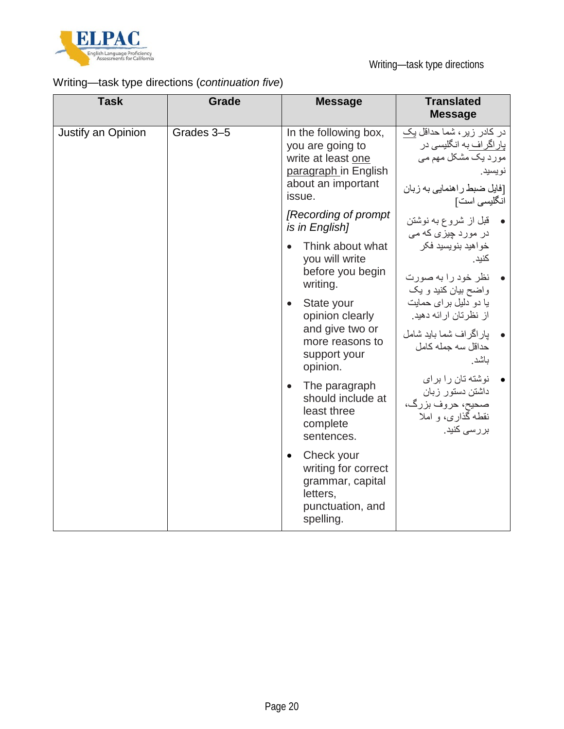

### Writing—task type directions (*continuation five*)

| <b>Task</b>        | <b>Grade</b> | <b>Message</b>                                                                                                          | <b>Translated</b><br><b>Message</b>                                                                                                             |
|--------------------|--------------|-------------------------------------------------------------------------------------------------------------------------|-------------------------------------------------------------------------------------------------------------------------------------------------|
| Justify an Opinion | Grades 3-5   | In the following box,<br>you are going to<br>write at least one<br>paragraph in English<br>about an important<br>issue. | در کادر زیر ، شما حداقل یک<br><u>پار اگر اف ب</u> ه انگلیسی در<br>مورد یک مشکل مهم می<br>نويسيد.<br>[فایل ضبط ر اهنمایی به زبان<br>انگلیسی است] |
|                    |              | [Recording of prompt]<br>is in English]                                                                                 | قبل از شروع به نوشتن<br>در مورد چیز <i>ی</i> که می                                                                                              |
|                    |              | Think about what<br>$\bullet$<br>you will write<br>before you begin<br>writing.                                         | خواهيد بنويسيد فكر<br>كنيد .<br>نظر خود را به صورت<br>واضح بیان کنید و یک                                                                       |
|                    |              | State your<br>$\bullet$<br>opinion clearly<br>and give two or<br>more reasons to<br>support your<br>opinion.            | یا دو دلیل بر ای حمایت<br>از نظرتان ارائه دهید.<br>يار اگر اف شما بايد شامل<br>حداقل سه جمله كامل<br>باشد                                       |
|                    |              | The paragraph<br>$\bullet$<br>should include at<br>least three<br>complete<br>sentences.                                | نوشته تان را برای<br>داشتن دستور زبان<br>صحيح، حروف بزرگ،<br>نقطه گذاری، و املا<br>بررس <i>ی</i> کنید.                                          |
|                    |              | Check your<br>$\bullet$<br>writing for correct<br>grammar, capital<br>letters,<br>punctuation, and<br>spelling.         |                                                                                                                                                 |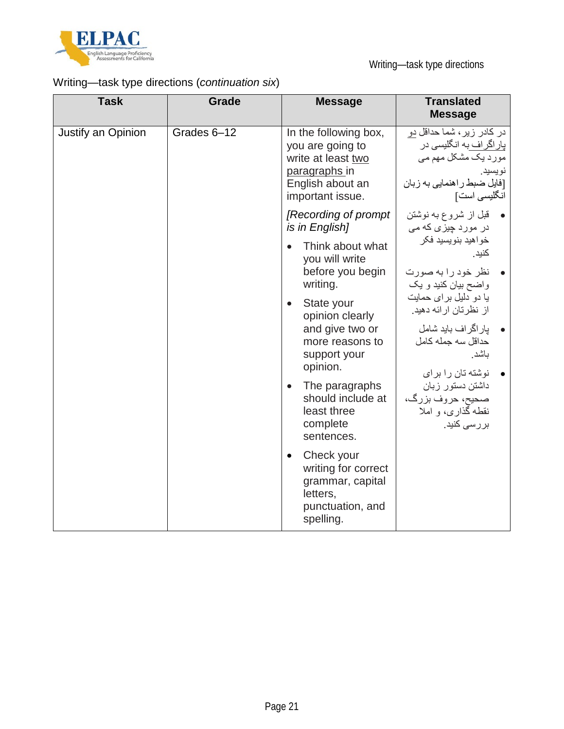

### Writing—task type directions (*continuation six*)

| <b>Task</b>        | <b>Grade</b> | <b>Message</b>                                                                                                           | <b>Translated</b><br><b>Message</b>                                                                                                                                                                     |
|--------------------|--------------|--------------------------------------------------------------------------------------------------------------------------|---------------------------------------------------------------------------------------------------------------------------------------------------------------------------------------------------------|
| Justify an Opinion | Grades 6-12  | In the following box,<br>you are going to<br>write at least two<br>paragraphs in<br>English about an<br>important issue. | در کادر زیر، شما حداقل دو<br>پار اگر اف به انگلیسی در<br>مورد یک مشکل مهم می<br>نويسيد.<br>[فایل ضبط ر اهنمایی به زبان<br>انگلیسی است]                                                                  |
|                    |              | [Recording of prompt]<br>is in English]                                                                                  | قبل از شروع به نوشتن<br>در مورد چیز <i>ی</i> که می                                                                                                                                                      |
|                    |              | Think about what<br>$\bullet$<br>you will write<br>before you begin<br>writing.                                          | خواهيد بنويسيد فكر<br>كنيد.<br>نظر خود را به صورت<br>واضح بیان کنید و یک                                                                                                                                |
|                    |              | State your<br>$\bullet$<br>opinion clearly<br>and give two or<br>more reasons to<br>support your<br>opinion.             | یا دو دلیل بر ای حمایت<br>از نظرتان ارائه دهید.<br>يار اگر اف بايد شامل<br>حداقل سه جمله كامل<br>باشد<br>نوشته تان را برای<br>داشتن دستور زبان<br>صحيح، حروف بزرگ،<br>نقطه گذاری، و املا<br>بررسی کنید. |
|                    |              | The paragraphs<br>$\bullet$<br>should include at<br>least three<br>complete<br>sentences.                                |                                                                                                                                                                                                         |
|                    |              | Check your<br>$\bullet$<br>writing for correct<br>grammar, capital<br>letters,<br>punctuation, and<br>spelling.          |                                                                                                                                                                                                         |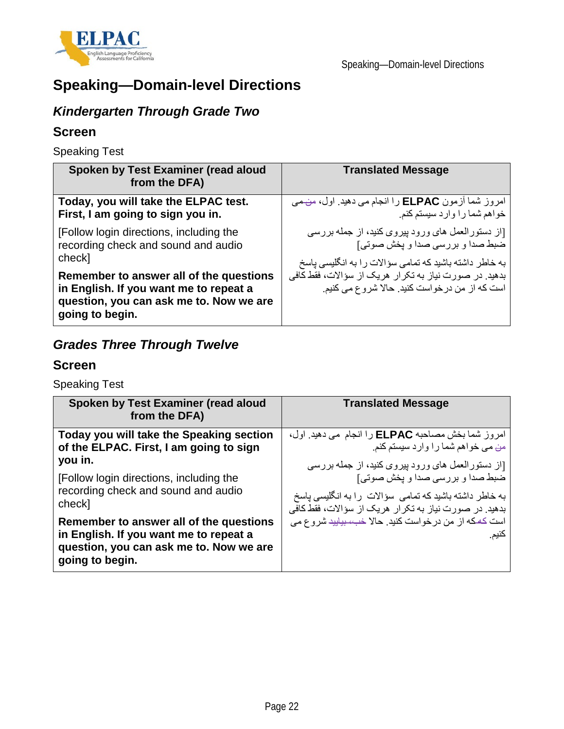

## **Speaking—Domain-level Directions**

### *Kindergarten Through Grade Two*

#### **Screen**

Speaking Test

| Spoken by Test Examiner (read aloud<br>from the DFA)                                                                                            | <b>Translated Message</b>                                                                              |
|-------------------------------------------------------------------------------------------------------------------------------------------------|--------------------------------------------------------------------------------------------------------|
| Today, you will take the ELPAC test.                                                                                                            | امروز شما أزمون ELPAC را انجام مي دهيد. اول، من مي                                                     |
| First, I am going to sign you in.                                                                                                               | خواهم شما را وارد سیستم کنم.                                                                           |
| [Follow login directions, including the                                                                                                         | [از دستورالعمل های ورود بیروی کنید، از جمله بررسی                                                      |
| recording check and sound and audio                                                                                                             | ضبط صدا و بررسی صدا و بخش صوتی]                                                                        |
| check]                                                                                                                                          | به خاطر داشته باشید که تمامی سؤالات را به انگلیسی پاسخ                                                 |
| Remember to answer all of the questions<br>in English. If you want me to repeat a<br>question, you can ask me to. Now we are<br>going to begin. | بدهید. در صورت نیاز به تکرار هریک از سؤالات، فقط کافی<br>است كه از من درخواست كنيد. حالا شروع مى كنيم. |

### *Grades Three Through Twelve*

#### **Screen**

Speaking Test

| Spoken by Test Examiner (read aloud<br>from the DFA)                                                                                            | <b>Translated Message</b>                                      |
|-------------------------------------------------------------------------------------------------------------------------------------------------|----------------------------------------------------------------|
| Today you will take the Speaking section                                                                                                        | امروز شما بخش مصاحبه ELPAC را انجام مي دهيد. اول،              |
| of the ELPAC. First, I am going to sign                                                                                                         | من می خواهم شما را وارد سیستم کنم.                             |
| you in.                                                                                                                                         | [از دستورالعمل های ورود پیروی کنید، از جمله بررسی              |
| [Follow login directions, including the                                                                                                         | ضبط صدا و بررسی صدا و یخش صوتی]                                |
| recording check and sound and audio                                                                                                             | به خاطر داشته باشید که تمامی سؤالات را به انگلیسی پاسخ         |
| check]                                                                                                                                          | بدهید. در صورت نیاز به تکرار هریک از سؤالات، فقط کافی          |
| Remember to answer all of the questions<br>in English. If you want me to repeat a<br>question, you can ask me to. Now we are<br>going to begin. | است كه كه از من درخواست كنيد. حالا خب، بياييد شروع مي<br>كنيم. |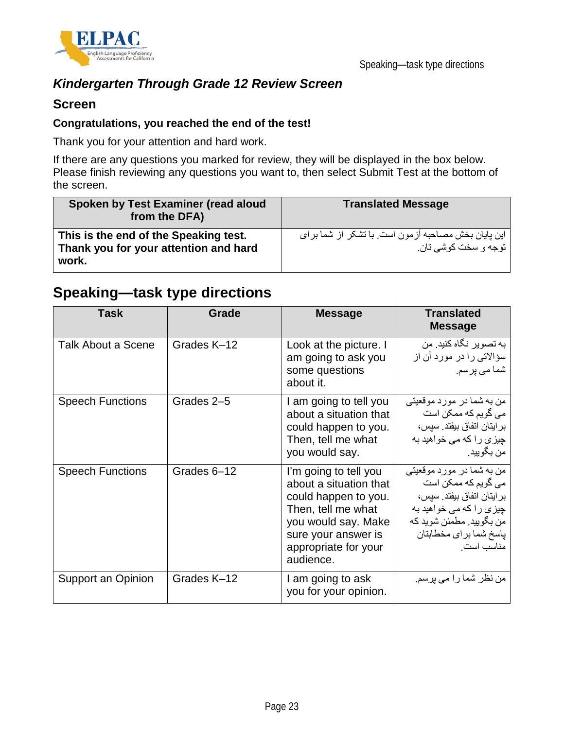

### *Kindergarten Through Grade 12 Review Screen*

#### **Screen**

#### **Congratulations, you reached the end of the test!**

Thank you for your attention and hard work.

If there are any questions you marked for review, they will be displayed in the box below. Please finish reviewing any questions you want to, then select Submit Test at the bottom of the screen.

| Spoken by Test Examiner (read aloud<br>from the DFA)                                    | <b>Translated Message</b>                                                    |
|-----------------------------------------------------------------------------------------|------------------------------------------------------------------------------|
| This is the end of the Speaking test.<br>Thank you for your attention and hard<br>work. | این پایان بخش مصاحبه آزمون است. با تشکر از شما بر ای<br>توجه و سخت کوشی تان. |

### **Speaking—task type directions**

| Task                      | Grade       | <b>Message</b>                                                                                                                                                                   | Translated<br><b>Message</b>                                                                                                                                                    |
|---------------------------|-------------|----------------------------------------------------------------------------------------------------------------------------------------------------------------------------------|---------------------------------------------------------------------------------------------------------------------------------------------------------------------------------|
| <b>Talk About a Scene</b> | Grades K-12 | Look at the picture. I<br>am going to ask you<br>some questions<br>about it.                                                                                                     | به تصویر نگاه کنید. من<br>سؤالاتی را در مورد آن از<br>شما می پرسم.                                                                                                              |
| <b>Speech Functions</b>   | Grades 2-5  | I am going to tell you<br>about a situation that<br>could happen to you.<br>Then, tell me what<br>you would say.                                                                 | من به شما در مورد موقعیتی<br>می گویم که ممکن است<br>بر ايتان اتفاق بيفتد. سيس،<br>چیزی را که می خواهید به<br>من بگوييد.                                                         |
| <b>Speech Functions</b>   | Grades 6-12 | I'm going to tell you<br>about a situation that<br>could happen to you.<br>Then, tell me what<br>you would say. Make<br>sure your answer is<br>appropriate for your<br>audience. | من به شما در مورد موقعیتی<br>می گویم که ممکن است<br>بر ايتان اتفاق بيفتد. سيس،<br>چیزی را که می خواهید به<br>ِ من بگوييد. مطمئن شويد كه<br>ياسخ شما براى مخطابتان<br>مناسب است. |
| Support an Opinion        | Grades K-12 | I am going to ask<br>you for your opinion.                                                                                                                                       | من نظر شما را می پرسم.                                                                                                                                                          |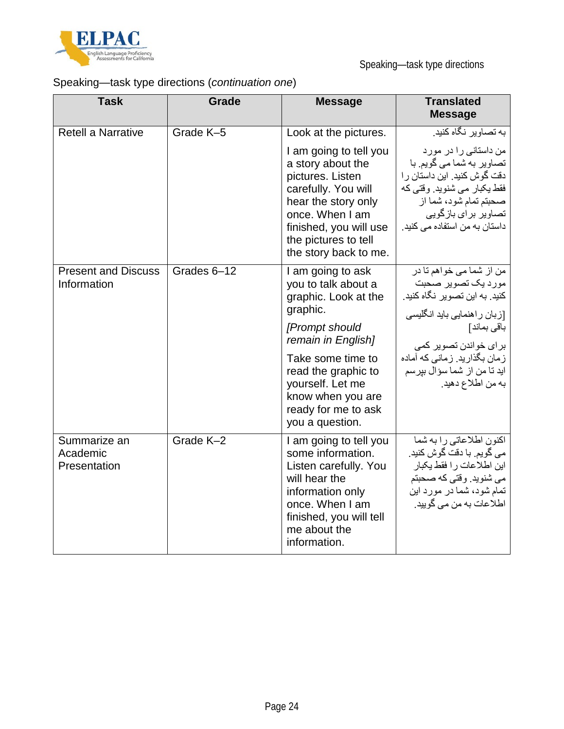

### Speaking—task type directions (*continuation one*)

| <b>Task</b>                               | <b>Grade</b> | <b>Message</b>                                                                                                                                                                                                                                      | <b>Translated</b><br><b>Message</b>                                                                                                                                                                                                        |
|-------------------------------------------|--------------|-----------------------------------------------------------------------------------------------------------------------------------------------------------------------------------------------------------------------------------------------------|--------------------------------------------------------------------------------------------------------------------------------------------------------------------------------------------------------------------------------------------|
| <b>Retell a Narrative</b>                 | Grade K-5    | Look at the pictures.                                                                                                                                                                                                                               | به تصاویر نگاه کنید.                                                                                                                                                                                                                       |
|                                           |              | I am going to tell you<br>a story about the<br>pictures. Listen<br>carefully. You will<br>hear the story only<br>once. When I am<br>finished, you will use<br>the pictures to tell<br>the story back to me.                                         | من داستانی را در مورد<br>تصاویر به شما می گویم. با<br>دقت گوش کنید. این داستان ر ا<br>فقط يكبار مي شنويد. وقتي كه<br>صحبتم تمام شود، شما از<br>تصاویر برای بازگویی<br>داستان به من استفاده می کنید.                                        |
| <b>Present and Discuss</b><br>Information | Grades 6-12  | I am going to ask<br>you to talk about a<br>graphic. Look at the<br>graphic.<br>[Prompt should<br>remain in English]<br>Take some time to<br>read the graphic to<br>yourself. Let me<br>know when you are<br>ready for me to ask<br>you a question. | من از شما می خواهم تا در<br>مورد يک تصوير صحبت<br>کنید. به این تصویر نگاه کنید.<br>[زبان راهنمایی باید انگلیسی<br>باقى بماند]<br>برای خواندن تصویر کمی<br>زمان بگذارید. زمانی که آماده<br>ايد تا من از شما سؤال بيرسم<br>به من اطلاع دهيد. |
| Summarize an<br>Academic<br>Presentation  | Grade K-2    | I am going to tell you<br>some information.<br>Listen carefully. You<br>will hear the<br>information only<br>once. When I am<br>finished, you will tell<br>me about the<br>information.                                                             | اكنون اطلاعاتي را به شما<br>می گویم. با دقت گوش کنید.<br>این اطلاعات را فقط یکبار<br>می شنوید. وقتی که صحبتم<br>تمام شود، شما در مورد این<br>اطلاعات به من مي گوييد.                                                                       |